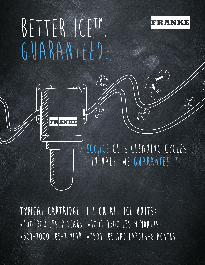## BETTER ICETM. GUARANTEED





ECO<sub>3</sub>ICE CUTS CLEANING CYCLES in half. We guarantee it.

typical cartridge life on ALL ICE UNITS: •100-300 lbs-2 years •1001-1500 lbs-9 months •301-1000 lbs-1 year •1501 lbs and larger-6 months